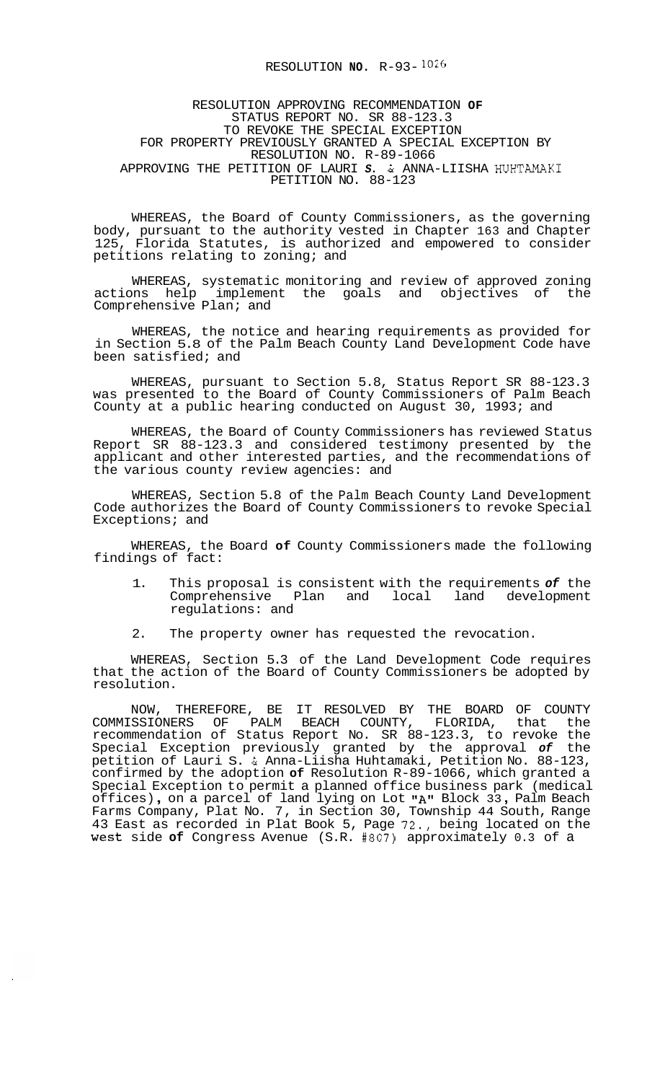## RESOLUTION **NO.** R-93- 1026

RESOLUTION APPROVING RECOMMENDATION **OF**  STATUS REPORT NO. SR 88-123.3 TO REVOKE THE SPECIAL EXCEPTION FOR PROPERTY PREVIOUSLY GRANTED A SPECIAL EXCEPTION BY RESOLUTION NO. R-89-1066 APPROVING THE PETITION OF LAURI *S.* & ANNA-LIISHA HUHTAMAKI PETITION NO. 88-123

WHEREAS, the Board of County Commissioners, as the governing body, pursuant to the authority vested in Chapter 163 and Chapter 125, Florida Statutes, is authorized and empowered to consider petitions relating to zoning; and

WHEREAS, systematic monitoring and review of approved zoning actions help implement the goals and objectives of the Comprehensive Plan; and

WHEREAS, the notice and hearing requirements as provided for in Section 5.8 of the Palm Beach County Land Development Code have been satisfied; and

WHEREAS, pursuant to Section 5.8, Status Report SR 88-123.3 was presented to the Board of County Commissioners of Palm Beach County at a public hearing conducted on August 30, 1993; and

WHEREAS, the Board of County Commissioners has reviewed Status Report SR 88-123.3 and considered testimony presented by the applicant and other interested parties, and the recommendations of the various county review agencies: and

WHEREAS, Section 5.8 of the Palm Beach County Land Development Code authorizes the Board of County Commissioners to revoke Special Exceptions; and

WHEREAS, the Board **of** County Commissioners made the following findings of fact:

- 1. This proposal is consistent with the requirements *of* the Comprehensive Plan and local land development regulations: and
- 2. The property owner has requested the revocation.

WHEREAS, Section 5.3 of the Land Development Code requires that the action of the Board of County Commissioners be adopted by resolution.

NOW, THEREFORE, BE IT RESOLVED BY THE BOARD OF COUNTY COMMISSIONERS OF PALM BEACH COUNTY, FLORIDA, that the recommendation of Status Report No. SR 88-123.3, to revoke the Special Exception previously granted by the approval *of* the petition of Lauri S. & Anna-Liisha Huhtamaki, Petition No. 88-123, confirmed by the adoption **of** Resolution R-89-1066, which granted a Special Exception to permit a planned office business park (medical<br>offices), on a parcel of land lying on Lot **"A"** Block 33, Palm Beach Farms Company, Plat No. 7, in Section 30, Township 44 South, Range 43 East as recorded in Plat Book 5, Page 72., being located on the West side **of** Congress Avenue (S.R. #807) approximately 0.3 of a